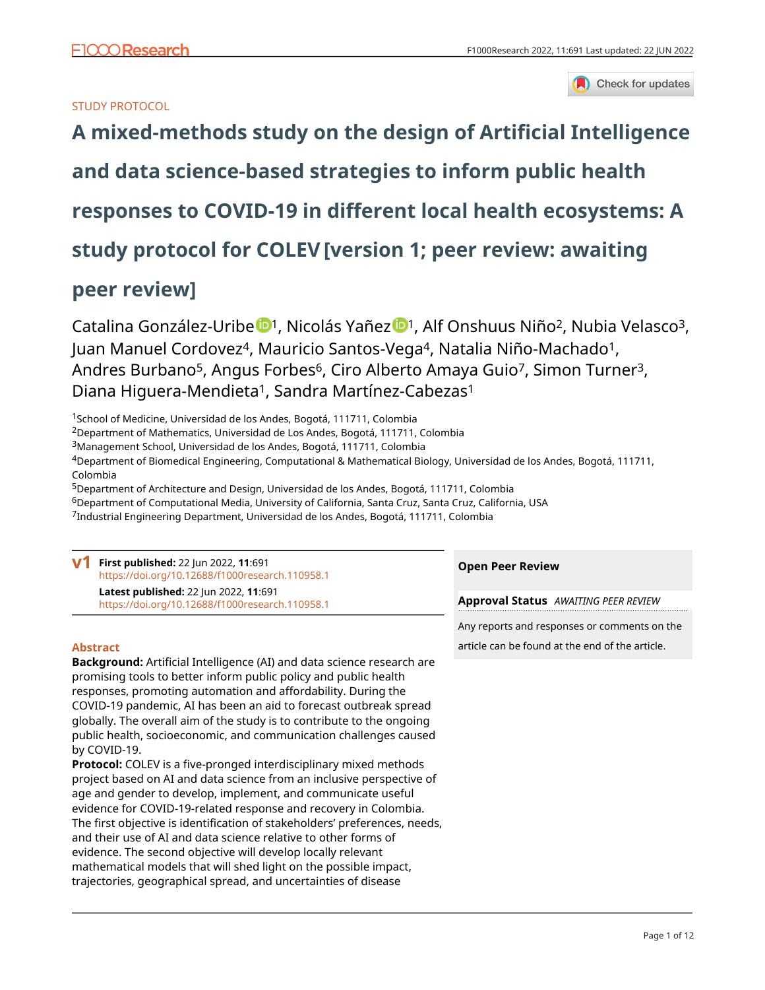

## STUDY PROTOCOL

# **[A mixed-methods study on the design of Artificial Intelligence](https://f1000research.com/articles/11-691/v1)**

**[and data science-based strategies to inform public health](https://f1000research.com/articles/11-691/v1)**

**[responses to COVID-19 in different local health ecosystems: A](https://f1000research.com/articles/11-691/v1)**

**[study protocol for COLEV](https://f1000research.com/articles/11-691/v1)[version 1; peer review: awaiting**

## **peer review]**

Catalina González-Uribe <sup>[1](https://orcid.org/0000-0003-3251-050X)</sup>, Nicolás Yañez <sup>1</sup>, Alf Onshuus Niño<sup>2</sup>, Nubia Velasco<sup>3</sup>, Juan Manuel Cordovez<sup>4</sup>, Mauricio Santos-Vega<sup>4</sup>, Natalia Niño-Machado<sup>1</sup>, Andres Burbano<sup>5</sup>, Angus Forbes<sup>6</sup>, Ciro Alberto Amaya Guio<sup>7</sup>, Simon Turner<sup>3</sup>, Diana Higuera-Mendieta<sup>1</sup>, Sandra Martínez-Cabezas<sup>1</sup>

<sup>1</sup>School of Medicine, Universidad de los Andes, Bogotá, 111711, Colombia

<sup>2</sup>Department of Mathematics, Universidad de Los Andes, Bogotá, 111711, Colombia

<sup>3</sup>Management School, Universidad de los Andes, Bogotá, 111711, Colombia

<sup>4</sup>Department of Biomedical Engineering, Computational & Mathematical Biology, Universidad de los Andes, Bogotá, 111711, Colombia

<sup>5</sup>Department of Architecture and Design, Universidad de los Andes, Bogotá, 111711, Colombia

<sup>6</sup>Department of Computational Media, University of California, Santa Cruz, Santa Cruz, California, USA

<sup>7</sup>Industrial Engineering Department, Universidad de los Andes, Bogotá, 111711, Colombia

| First published: 22 Jun 2022, 11:691<br>https://doi.org/10.12688/f1000research.110958.1         | <b>Open Peer Review</b>                      |  |
|-------------------------------------------------------------------------------------------------|----------------------------------------------|--|
| <b>Latest published: 22 Jun 2022, 11:691</b><br>https://doi.org/10.12688/f1000research.110958.1 | <b>Approval Status</b> AWAITING PEER REVIEW  |  |
|                                                                                                 | Any reports and responses or comments on the |  |

## **Abstract**

**Background:** Artificial Intelligence (AI) and data science research are promising tools to better inform public policy and public health responses, promoting automation and affordability. During the COVID-19 pandemic, AI has been an aid to forecast outbreak spread globally. The overall aim of the study is to contribute to the ongoing public health, socioeconomic, and communication challenges caused by COVID-19.

**Protocol:** COLEV is a five-pronged interdisciplinary mixed methods project based on AI and data science from an inclusive perspective of age and gender to develop, implement, and communicate useful evidence for COVID-19-related response and recovery in Colombia. The first objective is identification of stakeholders' preferences, needs, and their use of AI and data science relative to other forms of evidence. The second objective will develop locally relevant mathematical models that will shed light on the possible impact, trajectories, geographical spread, and uncertainties of disease

article can be found at the end of the article.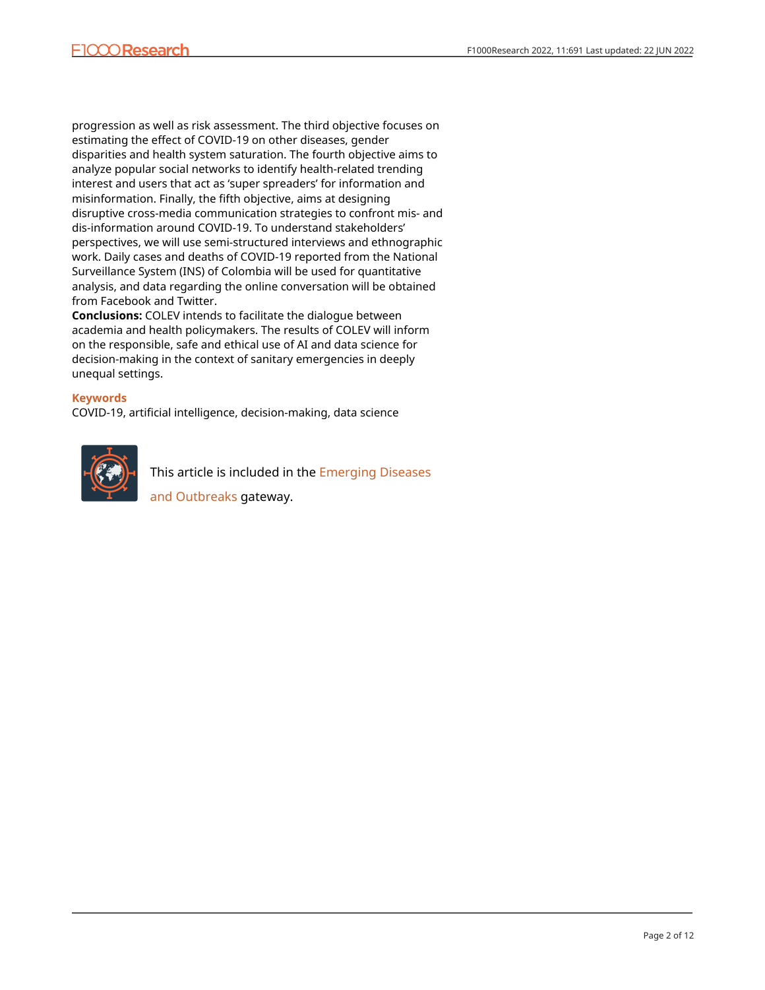progression as well as risk assessment. The third objective focuses on estimating the effect of COVID-19 on other diseases, gender disparities and health system saturation. The fourth objective aims to analyze popular social networks to identify health-related trending interest and users that act as 'super spreaders' for information and misinformation. Finally, the fifth objective, aims at designing disruptive cross-media communication strategies to confront mis- and dis-information around COVID-19. To understand stakeholders' perspectives, we will use semi-structured interviews and ethnographic work. Daily cases and deaths of COVID-19 reported from the National Surveillance System (INS) of Colombia will be used for quantitative analysis, and data regarding the online conversation will be obtained from Facebook and Twitter.

**Conclusions:** COLEV intends to facilitate the dialogue between academia and health policymakers. The results of COLEV will inform on the responsible, safe and ethical use of AI and data science for decision-making in the context of sanitary emergencies in deeply unequal settings.

## **Keywords**

COVID-19, artificial intelligence, decision-making, data science



This article is included in the [Emerging Diseases](https://f1000research.com/gateways/disease_outbreaks)

[and Outbreaks](https://f1000research.com/gateways/disease_outbreaks) gateway.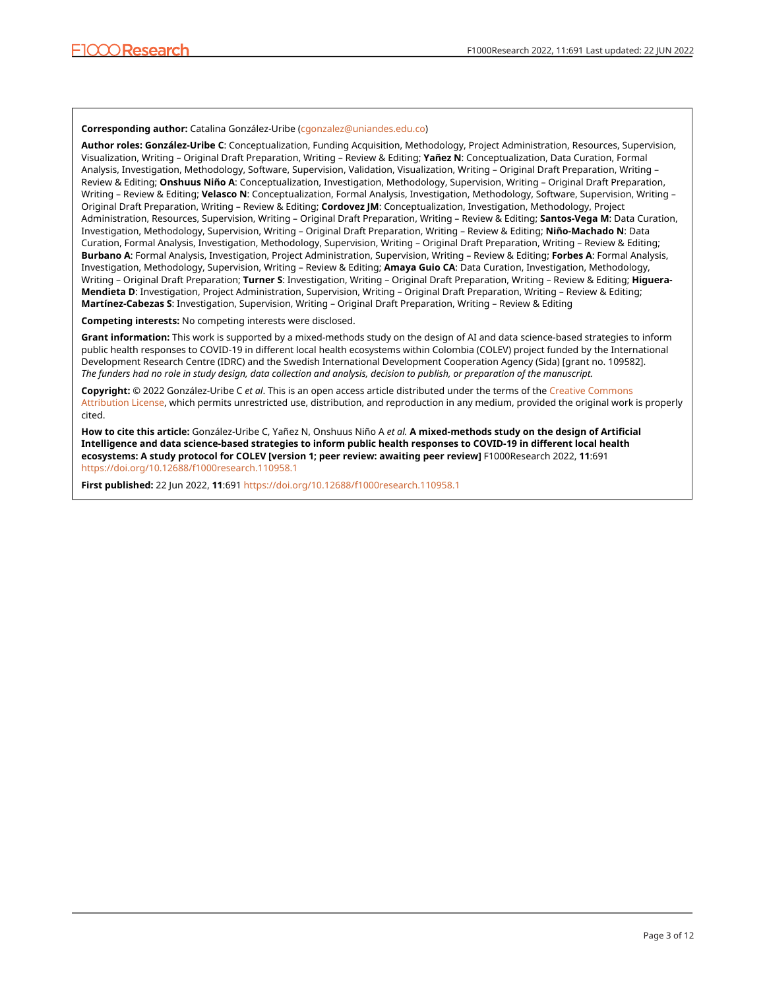#### **Corresponding author:** Catalina González-Uribe ([cgonzalez@uniandes.edu.co\)](mailto:cgonzalez@uniandes.edu.co)

**Author roles: González-Uribe C**: Conceptualization, Funding Acquisition, Methodology, Project Administration, Resources, Supervision, Visualization, Writing – Original Draft Preparation, Writing – Review & Editing; **Yañez N**: Conceptualization, Data Curation, Formal Analysis, Investigation, Methodology, Software, Supervision, Validation, Visualization, Writing – Original Draft Preparation, Writing – Review & Editing; **Onshuus Niño A**: Conceptualization, Investigation, Methodology, Supervision, Writing – Original Draft Preparation, Writing – Review & Editing; **Velasco N**: Conceptualization, Formal Analysis, Investigation, Methodology, Software, Supervision, Writing – Original Draft Preparation, Writing – Review & Editing; **Cordovez JM**: Conceptualization, Investigation, Methodology, Project Administration, Resources, Supervision, Writing – Original Draft Preparation, Writing – Review & Editing; **Santos-Vega M**: Data Curation, Investigation, Methodology, Supervision, Writing – Original Draft Preparation, Writing – Review & Editing; **Niño-Machado N**: Data Curation, Formal Analysis, Investigation, Methodology, Supervision, Writing – Original Draft Preparation, Writing – Review & Editing; **Burbano A**: Formal Analysis, Investigation, Project Administration, Supervision, Writing – Review & Editing; **Forbes A**: Formal Analysis, Investigation, Methodology, Supervision, Writing – Review & Editing; **Amaya Guio CA**: Data Curation, Investigation, Methodology, Writing – Original Draft Preparation; **Turner S**: Investigation, Writing – Original Draft Preparation, Writing – Review & Editing; **Higuera-Mendieta D**: Investigation, Project Administration, Supervision, Writing – Original Draft Preparation, Writing – Review & Editing; **Martínez-Cabezas S**: Investigation, Supervision, Writing – Original Draft Preparation, Writing – Review & Editing

**Competing interests:** No competing interests were disclosed.

**Grant information:** This work is supported by a mixed-methods study on the design of AI and data science-based strategies to inform public health responses to COVID-19 in different local health ecosystems within Colombia (COLEV) project funded by the International Development Research Centre (IDRC) and the Swedish International Development Cooperation Agency (Sida) [grant no. 109582]. *The funders had no role in study design, data collection and analysis, decision to publish, or preparation of the manuscript.*

**Copyright:** © 2022 González-Uribe C *et al*. This is an open access article distributed under the terms of the [Creative Commons](http://creativecommons.org/licenses/by/4.0/) [Attribution License,](http://creativecommons.org/licenses/by/4.0/) which permits unrestricted use, distribution, and reproduction in any medium, provided the original work is properly cited.

**How to cite this article:** González-Uribe C, Yañez N, Onshuus Niño A *et al.* **A mixed-methods study on the design of Artificial Intelligence and data science-based strategies to inform public health responses to COVID-19 in different local health ecosystems: A study protocol for COLEV [version 1; peer review: awaiting peer review]** F1000Research 2022, **11**:691 <https://doi.org/10.12688/f1000research.110958.1>

**First published:** 22 Jun 2022, **11**:691<https://doi.org/10.12688/f1000research.110958.1>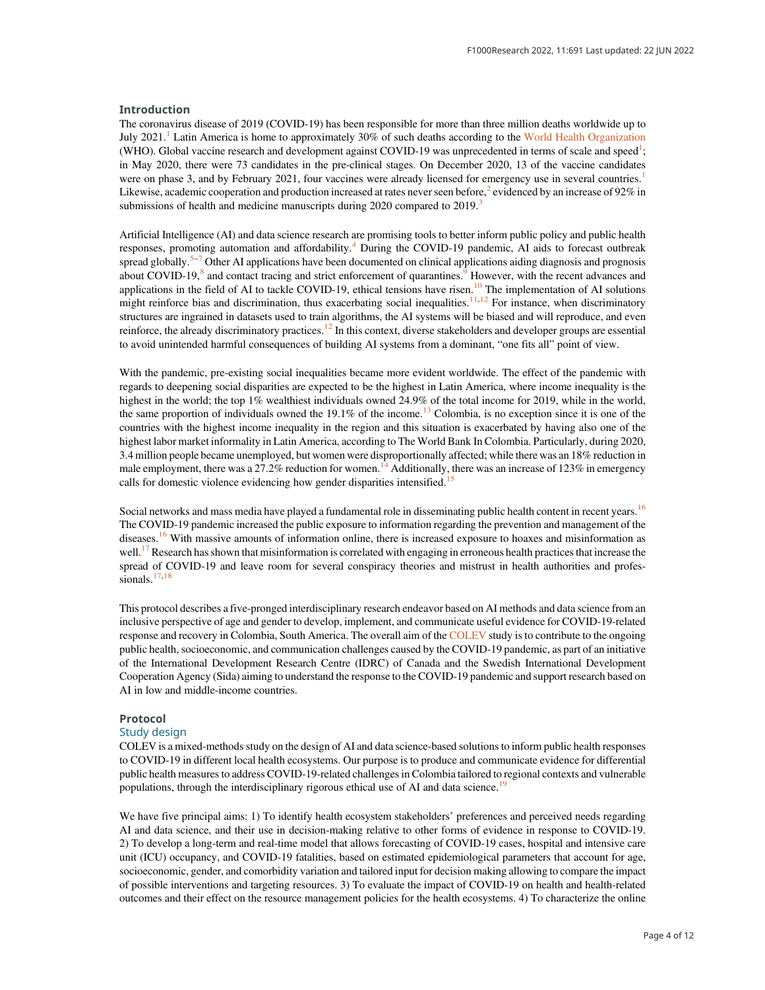#### Introduction

The coronavirus disease of 2019 (COVID-19) has been responsible for more than three million deaths worldwide up to July 202[1](#page-9-0).<sup>1</sup> Latin America is home to approximately 30% of such deaths according to the [World Health Organization](https://covid19.who.int/) (WHO). Global vaccine research and development against COVID-19 was unprecedented in terms of scale and speed<sup>1</sup>; in May 2020, there were 73 candidates in the pre-clinical stages. On December 2020, 13 of the vaccine candidates were on phase 3, and by February 202[1](#page-9-0), four vaccines were already licensed for emergency use in several countries.<sup>1</sup> Likewise, academic cooperation and production increased at rates never seen before,<sup>[2](#page-9-0)</sup> evidenced by an increase of  $92\%$  in submissions of health and medicine manuscripts during  $2020$  compared to  $2019$ .<sup>[3](#page-9-0)</sup>

Artificial Intelligence (AI) and data science research are promising tools to better inform public policy and public health responses, promoting automation and affordability.<sup>[4](#page-9-0)</sup> During the COVID-19 pandemic, AI aids to forecast outbreak spread globally.<sup>[5](#page-9-0)–[7](#page-9-0)</sup> Other AI applications have been documented on clinical applications aiding diagnosis and prognosis about COVID-1[9](#page-9-0), ${}^{8}$  ${}^{8}$  ${}^{8}$  and contact tracing and strict enforcement of quarantines.<sup>9</sup> However, with the recent advances and applications in the field of AI to tackle COVID-19, ethical tensions have risen.<sup>[10](#page-9-0)</sup> The implementation of AI solutions might reinforce bias and discrimination, thus exacerbating social inequalities.<sup>[11,12](#page-9-0)</sup> For instance, when discriminatory structures are ingrained in datasets used to train algorithms, the AI systems will be biased and will reproduce, and even reinforce, the already discriminatory practices.<sup>[12](#page-9-0)</sup> In this context, diverse stakeholders and developer groups are essential to avoid unintended harmful consequences of building AI systems from a dominant, "one fits all" point of view.

With the pandemic, pre-existing social inequalities became more evident worldwide. The effect of the pandemic with regards to deepening social disparities are expected to be the highest in Latin America, where income inequality is the highest in the world; the top 1% wealthiest individuals owned 24.9% of the total income for 2019, while in the world, the same proportion of individuals owned the 19.1% of the income.<sup>13</sup> Colombia, is no exception since it is one of the countries with the highest income inequality in the region and this situation is exacerbated by having also one of the highest labor market informality in Latin America, according to The World Bank In Colombia. Particularly, during 2020, 3.4 million people became unemployed, but women were disproportionally affected; while there was an 18% reduction in male employment, there was a 27.2% reduction for women.<sup>14</sup> Additionally, there was an increase of 123% in emergency calls for domestic violence evidencing how gender disparities intensified.<sup>1</sup>

Social networks and mass media have played a fundamental role in disseminating public health content in recent years.<sup>[16](#page-9-0)</sup> The COVID-19 pandemic increased the public exposure to information regarding the prevention and management of the diseases.<sup>[16](#page-9-0)</sup> With massive amounts of information online, there is increased exposure to hoaxes and misinformation as well.<sup>[17](#page-9-0)</sup> Research has shown that misinformation is correlated with engaging in erroneous health practices that increase the spread of COVID-19 and leave room for several conspiracy theories and mistrust in health authorities and profes-sionals.<sup>[17](#page-9-0),[18](#page-9-0)</sup>

This protocol describes a five-pronged interdisciplinary research endeavor based on AI methods and data science from an inclusive perspective of age and gender to develop, implement, and communicate useful evidence for COVID-19-related response and recovery in Colombia, South America. The overall aim of the [COLEV](https://colev.uniandes.edu.co/) study is to contribute to the ongoing public health, socioeconomic, and communication challenges caused by the COVID-19 pandemic, as part of an initiative of the International Development Research Centre (IDRC) of Canada and the Swedish International Development Cooperation Agency (Sida) aiming to understand the response to the COVID-19 pandemic and support research based on AI in low and middle-income countries.

#### Protocol

#### Study design

COLEV is a mixed-methods study on the design of AI and data science-based solutions to inform public health responses to COVID-19 in different local health ecosystems. Our purpose is to produce and communicate evidence for differential public health measures to address COVID-19-related challenges in Colombia tailored to regional contexts and vulnerable populations, through the interdisciplinary rigorous ethical use of AI and data science.<sup>[19](#page-10-0)</sup>

We have five principal aims: 1) To identify health ecosystem stakeholders' preferences and perceived needs regarding AI and data science, and their use in decision-making relative to other forms of evidence in response to COVID-19. 2) To develop a long-term and real-time model that allows forecasting of COVID-19 cases, hospital and intensive care unit (ICU) occupancy, and COVID-19 fatalities, based on estimated epidemiological parameters that account for age, socioeconomic, gender, and comorbidity variation and tailored input for decision making allowing to compare the impact of possible interventions and targeting resources. 3) To evaluate the impact of COVID-19 on health and health-related outcomes and their effect on the resource management policies for the health ecosystems. 4) To characterize the online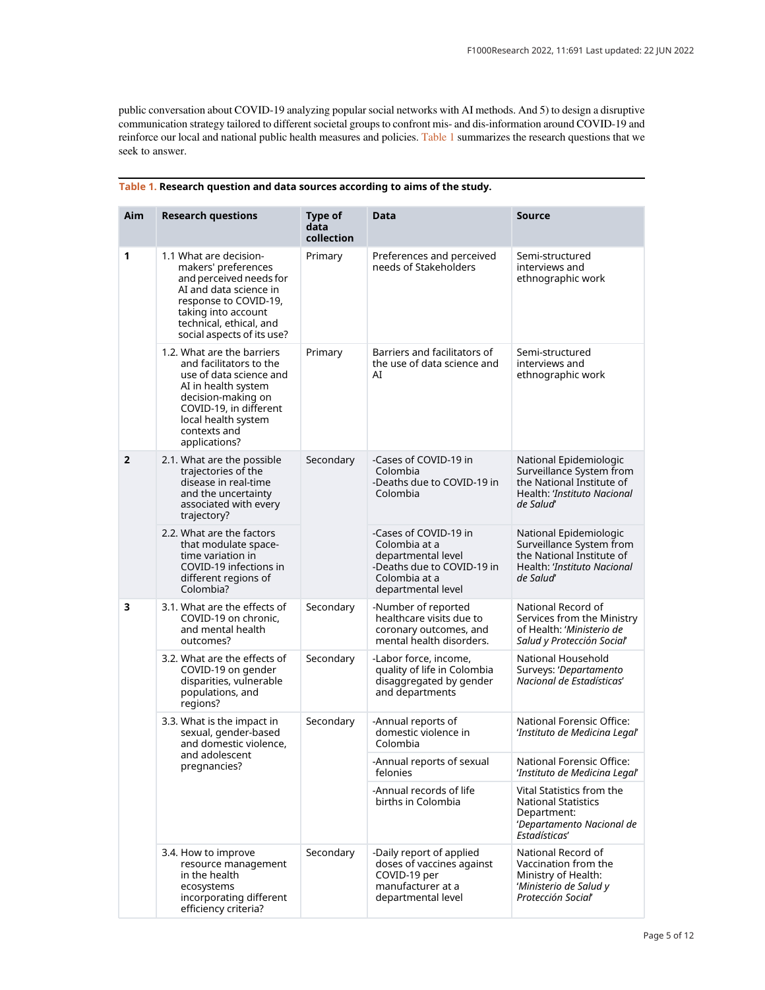<span id="page-4-0"></span>public conversation about COVID-19 analyzing popular social networks with AI methods. And 5) to design a disruptive communication strategy tailored to different societal groups to confront mis- and dis-information around COVID-19 and reinforce our local and national public health measures and policies. Table 1 summarizes the research questions that we seek to answer.

| Aim            | <b>Research questions</b>                                                                                                                                                                                       | Type of<br>data<br>collection | Data                                                                                                                              | <b>Source</b>                                                                                                               |
|----------------|-----------------------------------------------------------------------------------------------------------------------------------------------------------------------------------------------------------------|-------------------------------|-----------------------------------------------------------------------------------------------------------------------------------|-----------------------------------------------------------------------------------------------------------------------------|
| 1              | 1.1 What are decision-<br>makers' preferences<br>and perceived needs for<br>AI and data science in<br>response to COVID-19,<br>taking into account<br>technical, ethical, and<br>social aspects of its use?     | Primary                       | Preferences and perceived<br>needs of Stakeholders                                                                                | Semi-structured<br>interviews and<br>ethnographic work                                                                      |
|                | 1.2. What are the barriers<br>and facilitators to the<br>use of data science and<br>AI in health system<br>decision-making on<br>COVID-19, in different<br>local health system<br>contexts and<br>applications? | Primary                       | Barriers and facilitators of<br>the use of data science and<br>AI                                                                 | Semi-structured<br>interviews and<br>ethnographic work                                                                      |
| $\overline{2}$ | 2.1. What are the possible<br>trajectories of the<br>disease in real-time<br>and the uncertainty<br>associated with every<br>trajectory?                                                                        | Secondary                     | -Cases of COVID-19 in<br>Colombia<br>-Deaths due to COVID-19 in<br>Colombia                                                       | National Epidemiologic<br>Surveillance System from<br>the National Institute of<br>Health: 'Instituto Nacional<br>de Salud' |
|                | 2.2. What are the factors<br>that modulate space-<br>time variation in<br>COVID-19 infections in<br>different regions of<br>Colombia?                                                                           |                               | -Cases of COVID-19 in<br>Colombia at a<br>departmental level<br>-Deaths due to COVID-19 in<br>Colombia at a<br>departmental level | National Epidemiologic<br>Surveillance System from<br>the National Institute of<br>Health: 'Instituto Nacional<br>de Salud' |
| 3              | 3.1. What are the effects of<br>COVID-19 on chronic,<br>and mental health<br>outcomes?                                                                                                                          | Secondary                     | -Number of reported<br>healthcare visits due to<br>coronary outcomes, and<br>mental health disorders.                             | National Record of<br>Services from the Ministry<br>of Health: 'Ministerio de<br>Salud y Protección Social'                 |
|                | 3.2. What are the effects of<br>COVID-19 on gender<br>disparities, vulnerable<br>populations, and<br>regions?                                                                                                   | Secondary                     | -Labor force, income,<br>quality of life in Colombia<br>disaggregated by gender<br>and departments                                | National Household<br>Surveys: 'Departamento<br>Nacional de Estadísticas'                                                   |
|                | 3.3. What is the impact in<br>sexual, gender-based<br>and domestic violence,<br>and adolescent<br>pregnancies?                                                                                                  | Secondary                     | -Annual reports of<br>domestic violence in<br>Colombia                                                                            | National Forensic Office:<br>'Instituto de Medicina Legal'                                                                  |
|                |                                                                                                                                                                                                                 |                               | -Annual reports of sexual<br>felonies                                                                                             | National Forensic Office:<br>'Instituto de Medicina Legal'                                                                  |
|                |                                                                                                                                                                                                                 |                               | -Annual records of life<br>births in Colombia                                                                                     | Vital Statistics from the<br><b>National Statistics</b><br>Department:<br>'Departamento Nacional de<br>Estadísticas'        |
|                | 3.4. How to improve<br>resource management<br>in the health<br>ecosystems<br>incorporating different<br>efficiency criteria?                                                                                    | Secondary                     | -Daily report of applied<br>doses of vaccines against<br>COVID-19 per<br>manufacturer at a<br>departmental level                  | National Record of<br>Vaccination from the<br>Ministry of Health:<br>'Ministerio de Salud y<br>Protección Social'           |

### Table 1. Research question and data sources according to aims of the study.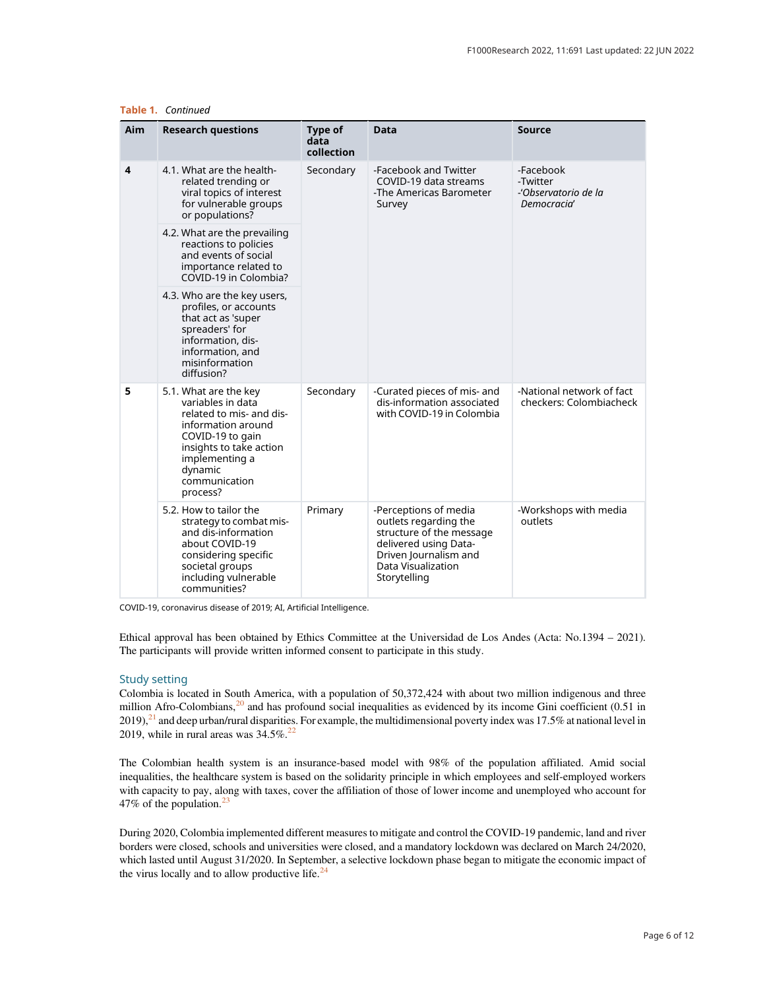| Aim | <b>Research questions</b>                                                                                                                                                                             | Type of<br>data<br>collection | <b>Data</b>                                                                                                                                                        | <b>Source</b>                                                |
|-----|-------------------------------------------------------------------------------------------------------------------------------------------------------------------------------------------------------|-------------------------------|--------------------------------------------------------------------------------------------------------------------------------------------------------------------|--------------------------------------------------------------|
| 4   | 4.1. What are the health-<br>related trending or<br>viral topics of interest<br>for vulnerable groups<br>or populations?                                                                              | Secondary                     | -Facebook and Twitter<br>COVID-19 data streams<br>-The Americas Barometer<br>Survey                                                                                | -Facebook<br>-Twitter<br>-'Observatorio de la<br>Democracia' |
|     | 4.2. What are the prevailing<br>reactions to policies<br>and events of social<br>importance related to<br>COVID-19 in Colombia?                                                                       |                               |                                                                                                                                                                    |                                                              |
|     | 4.3. Who are the key users,<br>profiles, or accounts<br>that act as 'super<br>spreaders' for<br>information, dis-<br>information, and<br>misinformation<br>diffusion?                                 |                               |                                                                                                                                                                    |                                                              |
| 5   | 5.1. What are the key<br>variables in data<br>related to mis- and dis-<br>information around<br>COVID-19 to gain<br>insights to take action<br>implementing a<br>dynamic<br>communication<br>process? | Secondary                     | -Curated pieces of mis- and<br>dis-information associated<br>with COVID-19 in Colombia                                                                             | -National network of fact<br>checkers: Colombiacheck         |
|     | 5.2. How to tailor the<br>strategy to combat mis-<br>and dis-information<br>about COVID-19<br>considering specific<br>societal groups<br>including vulnerable<br>communities?                         | Primary                       | -Perceptions of media<br>outlets regarding the<br>structure of the message<br>delivered using Data-<br>Driven Journalism and<br>Data Visualization<br>Storytelling | -Workshops with media<br>outlets                             |

Table 1. Continued

COVID-19, coronavirus disease of 2019; AI, Artificial Intelligence.

Ethical approval has been obtained by Ethics Committee at the Universidad de Los Andes (Acta: No.1394 – 2021). The participants will provide written informed consent to participate in this study.

#### Study setting

Colombia is located in South America, with a population of 50,372,424 with about two million indigenous and three million Afro-Colombians, $2^0$  and has profound social inequalities as evidenced by its income Gini coefficient (0.51 in  $2019$ ), $^{21}$  $^{21}$  $^{21}$  and deep urban/rural disparities. For example, the multidimensional poverty index was 17.5% at national level in 2019, while in rural areas was  $34.5\%$ <sup>22</sup>

The Colombian health system is an insurance-based model with 98% of the population affiliated. Amid social inequalities, the healthcare system is based on the solidarity principle in which employees and self-employed workers with capacity to pay, along with taxes, cover the affiliation of those of lower income and unemployed who account for 47% of the population.[23](#page-10-0)

During 2020, Colombia implemented different measures to mitigate and control the COVID-19 pandemic, land and river borders were closed, schools and universities were closed, and a mandatory lockdown was declared on March 24/2020, which lasted until August 31/2020. In September, a selective lockdown phase began to mitigate the economic impact of the virus locally and to allow productive life. $24$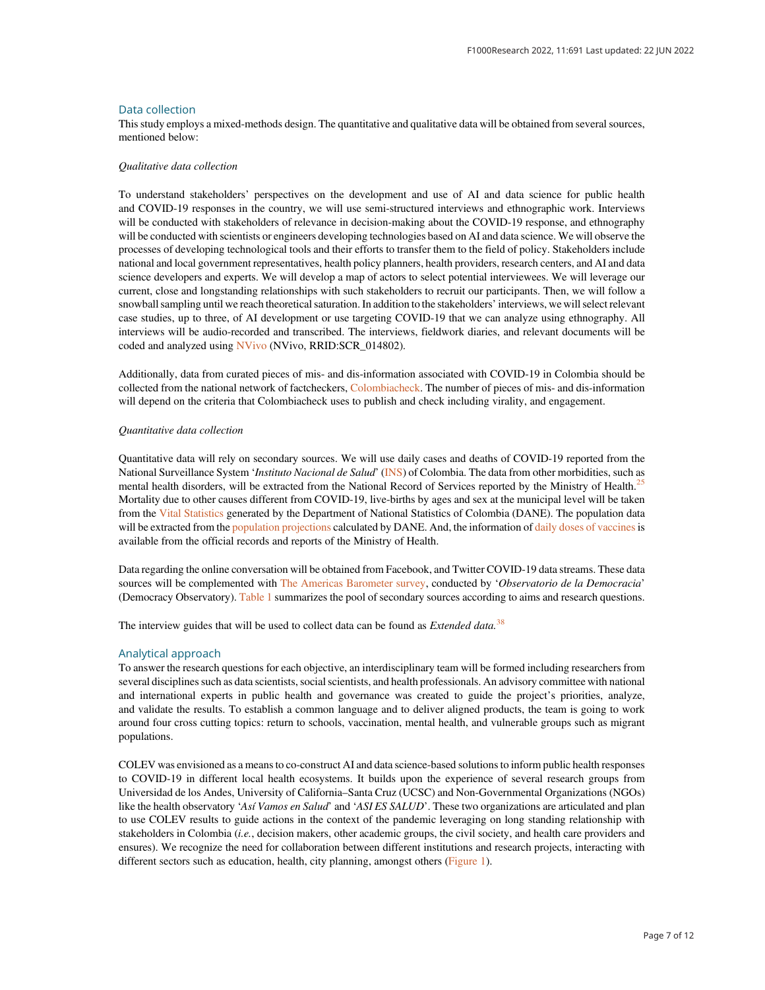#### Data collection

This study employs a mixed-methods design. The quantitative and qualitative data will be obtained from several sources, mentioned below:

#### Qualitative data collection

To understand stakeholders' perspectives on the development and use of AI and data science for public health and COVID-19 responses in the country, we will use semi-structured interviews and ethnographic work. Interviews will be conducted with stakeholders of relevance in decision-making about the COVID-19 response, and ethnography will be conducted with scientists or engineers developing technologies based on AI and data science. We will observe the processes of developing technological tools and their efforts to transfer them to the field of policy. Stakeholders include national and local government representatives, health policy planners, health providers, research centers, and AI and data science developers and experts. We will develop a map of actors to select potential interviewees. We will leverage our current, close and longstanding relationships with such stakeholders to recruit our participants. Then, we will follow a snowball sampling until we reach theoretical saturation. In addition to the stakeholders' interviews, we will select relevant case studies, up to three, of AI development or use targeting COVID-19 that we can analyze using ethnography. All interviews will be audio-recorded and transcribed. The interviews, fieldwork diaries, and relevant documents will be coded and analyzed using [NVivo](https://www.qsrinternational.com/nvivo-qualitative-data-analysis-software/home) (NVivo, RRID:SCR\_014802).

Additionally, data from curated pieces of mis- and dis-information associated with COVID-19 in Colombia should be collected from the national network of factcheckers, [Colombiacheck](https://colombiacheck.com/). The number of pieces of mis- and dis-information will depend on the criteria that Colombiacheck uses to publish and check including virality, and engagement.

#### Quantitative data collection

Quantitative data will rely on secondary sources. We will use daily cases and deaths of COVID-19 reported from the National Surveillance System 'Instituto Nacional de Salud' [\(INS](https://www.ins.gov.co/Noticias/Paginas/Coronavirus.aspx)) of Colombia. The data from other morbidities, such as mental health disorders, will be extracted from the National Record of Services reported by the Ministry of Health.<sup>[25](#page-10-0)</sup> Mortality due to other causes different from COVID-19, live-births by ages and sex at the municipal level will be taken from the [Vital Statistics](https://www.dane.gov.co/index.php/estadisticas-por-tema/salud/nacimientos-y-defunciones) generated by the Department of National Statistics of Colombia (DANE). The population data will be extracted from the [population projections](https://www.dane.gov.co/index.php/estadisticas-por-tema/demografia-y-poblacion/proyecciones-de-poblacion) calculated by DANE. And, the information of [daily doses of vaccines](https://app.powerbi.com/view?r=eyJrIjoiNThmZTJmZWYtOWFhMy00OGE1LWFiNDAtMTJmYjM0NDA5NGY2IiwidCI6ImJmYjdlMTNhLTdmYjctNDAxNi04MzBjLWQzNzE2ZThkZDhiOCJ9) is available from the official records and reports of the Ministry of Health.

Data regarding the online conversation will be obtained from Facebook, and Twitter COVID-19 data streams. These data sources will be complemented with [The Americas Barometer survey,](https://obsdemocracia.org/encuestas/) conducted by 'Observatorio de la Democracia' (Democracy Observatory). [Table 1](#page-4-0) summarizes the pool of secondary sources according to aims and research questions.

The interview guides that will be used to collect data can be found as *Extended data*.<sup>[38](#page-10-0)</sup>

#### Analytical approach

To answer the research questions for each objective, an interdisciplinary team will be formed including researchers from several disciplines such as data scientists, social scientists, and health professionals. An advisory committee with national and international experts in public health and governance was created to guide the project's priorities, analyze, and validate the results. To establish a common language and to deliver aligned products, the team is going to work around four cross cutting topics: return to schools, vaccination, mental health, and vulnerable groups such as migrant populations.

COLEV was envisioned as a means to co-construct AI and data science-based solutions to inform public health responses to COVID-19 in different local health ecosystems. It builds upon the experience of several research groups from Universidad de los Andes, University of California–Santa Cruz (UCSC) and Non-Governmental Organizations (NGOs) like the health observatory 'Así Vamos en Salud' and 'ASI ES SALUD'. These two organizations are articulated and plan to use COLEV results to guide actions in the context of the pandemic leveraging on long standing relationship with stakeholders in Colombia (i.e., decision makers, other academic groups, the civil society, and health care providers and ensures). We recognize the need for collaboration between different institutions and research projects, interacting with different sectors such as education, health, city planning, amongst others [\(Figure 1](#page-7-0)).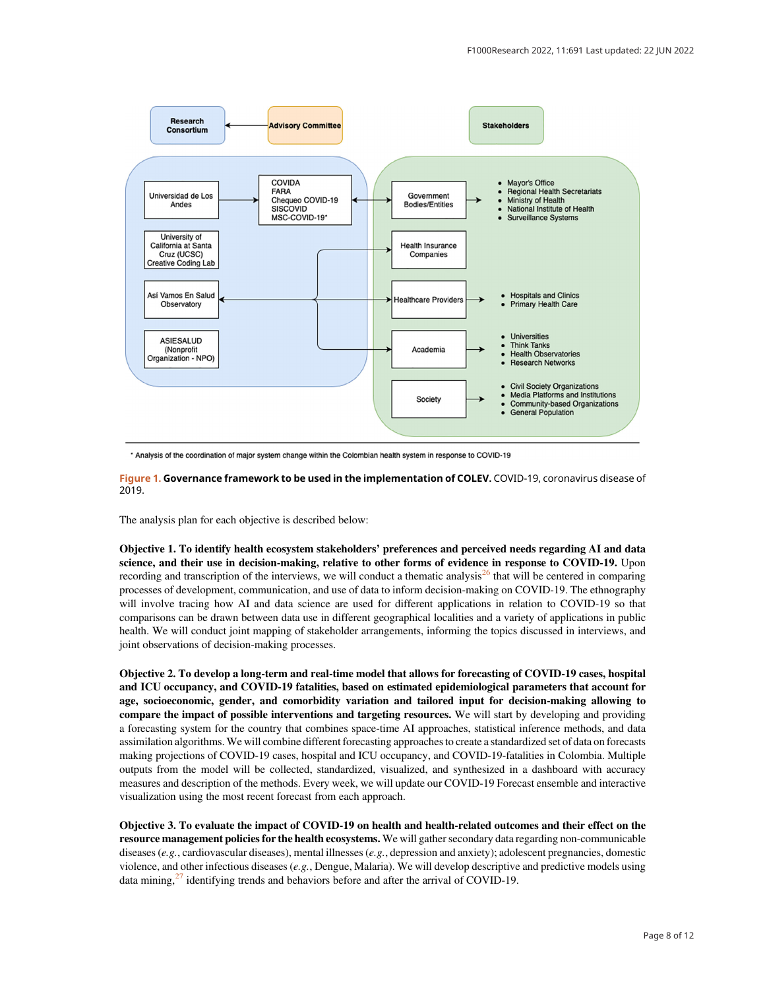<span id="page-7-0"></span>

\* Analysis of the coordination of major system change within the Colombian health system in response to COVID-19

Figure 1. Governance framework to be used in the implementation of COLEV. COVID-19, coronavirus disease of 2019.

The analysis plan for each objective is described below:

Objective 1. To identify health ecosystem stakeholders' preferences and perceived needs regarding AI and data science, and their use in decision-making, relative to other forms of evidence in response to COVID-19. Upon recording and transcription of the interviews, we will conduct a thematic analysis $^{26}$  $^{26}$  $^{26}$  that will be centered in comparing processes of development, communication, and use of data to inform decision-making on COVID-19. The ethnography will involve tracing how AI and data science are used for different applications in relation to COVID-19 so that comparisons can be drawn between data use in different geographical localities and a variety of applications in public health. We will conduct joint mapping of stakeholder arrangements, informing the topics discussed in interviews, and joint observations of decision-making processes.

Objective 2. To develop a long-term and real-time model that allows for forecasting of COVID-19 cases, hospital and ICU occupancy, and COVID-19 fatalities, based on estimated epidemiological parameters that account for age, socioeconomic, gender, and comorbidity variation and tailored input for decision-making allowing to compare the impact of possible interventions and targeting resources. We will start by developing and providing a forecasting system for the country that combines space-time AI approaches, statistical inference methods, and data assimilation algorithms. We will combine different forecasting approaches to create a standardized set of data on forecasts making projections of COVID-19 cases, hospital and ICU occupancy, and COVID-19-fatalities in Colombia. Multiple outputs from the model will be collected, standardized, visualized, and synthesized in a dashboard with accuracy measures and description of the methods. Every week, we will update our COVID-19 Forecast ensemble and interactive visualization using the most recent forecast from each approach.

Objective 3. To evaluate the impact of COVID-19 on health and health-related outcomes and their effect on the resource management policies for the health ecosystems. We will gather secondary data regarding non-communicable diseases (e.g., cardiovascular diseases), mental illnesses (e.g., depression and anxiety); adolescent pregnancies, domestic violence, and other infectious diseases  $(e.g.,$  Dengue, Malaria). We will develop descriptive and predictive models using data mining, $27$  identifying trends and behaviors before and after the arrival of COVID-19.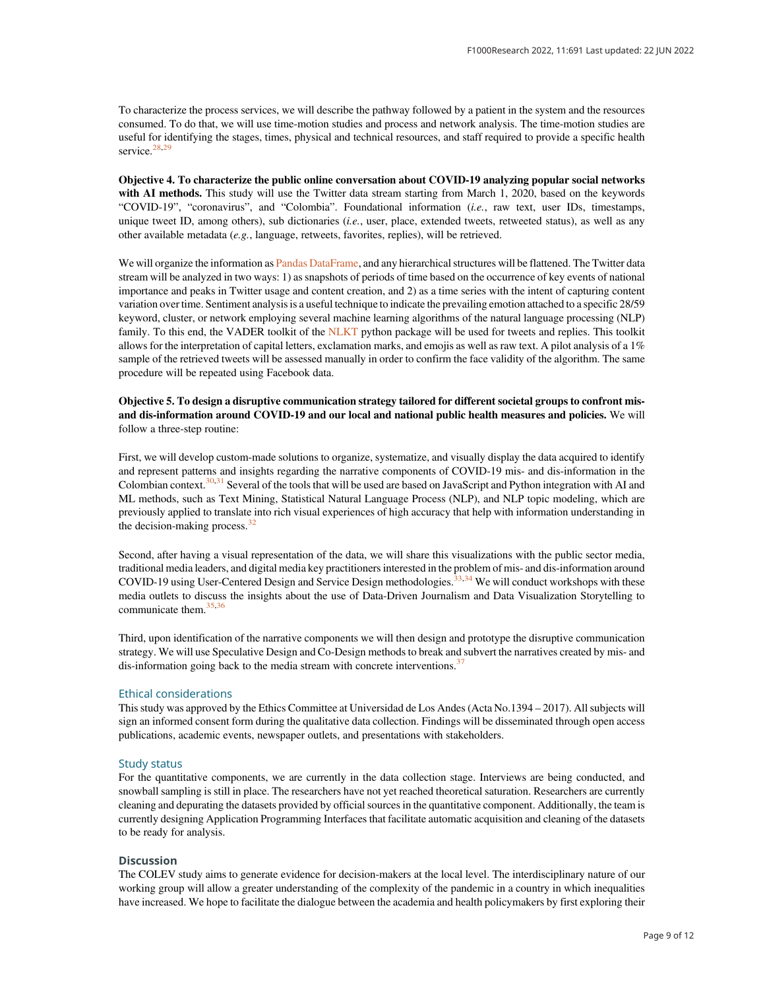To characterize the process services, we will describe the pathway followed by a patient in the system and the resources consumed. To do that, we will use time-motion studies and process and network analysis. The time-motion studies are useful for identifying the stages, times, physical and technical resources, and staff required to provide a specific health service.<sup>[28,29](#page-10-0)</sup>

Objective 4. To characterize the public online conversation about COVID-19 analyzing popular social networks with AI methods. This study will use the Twitter data stream starting from March 1, 2020, based on the keywords "COVID-19", "coronavirus", and "Colombia". Foundational information (i.e., raw text, user IDs, timestamps, unique tweet ID, among others), sub dictionaries (i.e., user, place, extended tweets, retweeted status), as well as any other available metadata (e.g., language, retweets, favorites, replies), will be retrieved.

We will organize the information as [Pandas DataFrame,](https://pandas.pydata.org/docs/reference/api/pandas.DataFrame.html) and any hierarchical structures will be flattened. The Twitter data stream will be analyzed in two ways: 1) as snapshots of periods of time based on the occurrence of key events of national importance and peaks in Twitter usage and content creation, and 2) as a time series with the intent of capturing content variation over time. Sentiment analysis is a useful technique to indicate the prevailing emotion attached to a specific 28/59 keyword, cluster, or network employing several machine learning algorithms of the natural language processing (NLP) family. To this end, the VADER toolkit of the [NLKT](https://www.nltk.org/) python package will be used for tweets and replies. This toolkit allows for the interpretation of capital letters, exclamation marks, and emojis as well as raw text. A pilot analysis of a 1% sample of the retrieved tweets will be assessed manually in order to confirm the face validity of the algorithm. The same procedure will be repeated using Facebook data.

#### Objective 5. To design a disruptive communication strategy tailored for different societal groups to confront misand dis-information around COVID-19 and our local and national public health measures and policies. We will follow a three-step routine:

First, we will develop custom-made solutions to organize, systematize, and visually display the data acquired to identify and represent patterns and insights regarding the narrative components of COVID-19 mis- and dis-information in the Colombian context.[30,31](#page-10-0) Several of the tools that will be used are based on JavaScript and Python integration with AI and ML methods, such as Text Mining, Statistical Natural Language Process (NLP), and NLP topic modeling, which are previously applied to translate into rich visual experiences of high accuracy that help with information understanding in the decision-making process.<sup>[32](#page-10-0)</sup>

Second, after having a visual representation of the data, we will share this visualizations with the public sector media, traditional media leaders, and digital media key practitioners interested in the problem of mis- and dis-information around COVID-19 using User-Centered Design and Service Design methodologies.<sup>33,[34](#page-10-0)</sup> We will conduct workshops with these media outlets to discuss the insights about the use of Data-Driven Journalism and Data Visualization Storytelling to communicate them.<sup>[35,36](#page-10-0)</sup>

Third, upon identification of the narrative components we will then design and prototype the disruptive communication strategy. We will use Speculative Design and Co-Design methods to break and subvert the narratives created by mis- and dis-information going back to the media stream with concrete interventions.<sup>[37](#page-10-0)</sup>

#### Ethical considerations

This study was approved by the Ethics Committee at Universidad de Los Andes (Acta No.1394 – 2017). All subjects will sign an informed consent form during the qualitative data collection. Findings will be disseminated through open access publications, academic events, newspaper outlets, and presentations with stakeholders.

#### Study status

For the quantitative components, we are currently in the data collection stage. Interviews are being conducted, and snowball sampling is still in place. The researchers have not yet reached theoretical saturation. Researchers are currently cleaning and depurating the datasets provided by official sources in the quantitative component. Additionally, the team is currently designing Application Programming Interfaces that facilitate automatic acquisition and cleaning of the datasets to be ready for analysis.

#### **Discussion**

The COLEV study aims to generate evidence for decision-makers at the local level. The interdisciplinary nature of our working group will allow a greater understanding of the complexity of the pandemic in a country in which inequalities have increased. We hope to facilitate the dialogue between the academia and health policymakers by first exploring their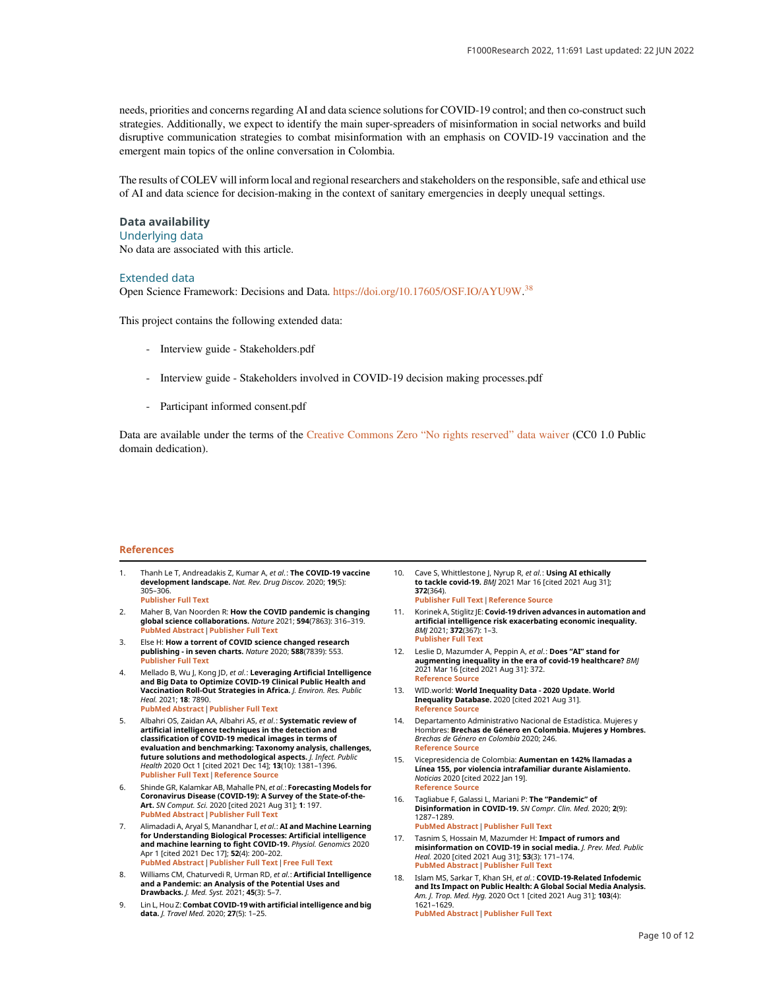<span id="page-9-0"></span>needs, priorities and concerns regarding AI and data science solutions for COVID-19 control; and then co-construct such strategies. Additionally, we expect to identify the main super-spreaders of misinformation in social networks and build disruptive communication strategies to combat misinformation with an emphasis on COVID-19 vaccination and the emergent main topics of the online conversation in Colombia.

The results of COLEV will inform local and regional researchers and stakeholders on the responsible, safe and ethical use of AI and data science for decision-making in the context of sanitary emergencies in deeply unequal settings.

## Data availability

Underlying data

No data are associated with this article.

#### Extended data

Open Science Framework: Decisions and Data. [https://doi.org/10.17605/OSF.IO/AYU9W.](https://doi.org/10.17605/OSF.IO/AYU9W)<sup>[38](#page-10-0)</sup>

This project contains the following extended data:

- Interview guide Stakeholders.pdf
- Interview guide Stakeholders involved in COVID-19 decision making processes.pdf
- Participant informed consent.pdf

Data are available under the terms of the [Creative Commons Zero](https://creativecommons.org/publicdomain/zero/1.0/) "No rights reserved" data waiver (CC0 1.0 Public domain dedication).

#### References

- 1. Thanh Le T, Andreadakis Z, Kumar A, et al.: The COVID-19 vaccine development landscape. Nat. Rev. Drug Discov. 2020; 19(5): 305–306. [Publisher Full Text](https://doi.org/10.1038/d41573-020-00073-5)
- 2. Maher B, Van Noorden R: How the COVID pandemic is changing global science collaborations. Nature 2021; 594(7863): 316–319. [PubMed Abstract](http://www.ncbi.nlm.nih.gov/pubmed/34135528)[|](https://doi.org/10.1038/d41586-021-01570-2)[Publisher Full Text](https://doi.org/10.1038/d41586-021-01570-2)
- 3. Else H: How a torrent of COVID science changed research publishing - in seven charts. Nature 2020; 588(7839): 553. [Publisher Full Text](https://doi.org/10.1038/d41586-020-03564-y)
- 4. Mellado B, Wu J, Kong JD, et al.: Leveraging Artificial Intelligence and Big Data to Optimize COVID-19 Clinical Public Health and Vaccination Roll-Out Strategies in Africa. J. Environ. Res. Public Heal. 2021; 18: 7890. [PubMed Abstract](http://www.ncbi.nlm.nih.gov/pubmed/34360183)[|](https://doi.org/10.3390/ijerph18157890)[Publisher Full Text](https://doi.org/10.3390/ijerph18157890)
- 5. Albahri OS, Zaidan AA, Albahri AS, et al.: Systematic review of artificial intelligence techniques in the detection and classification of COVID-19 medical images in terms of evaluation and benchmarking: Taxonomy analysis, challenges,<br>future solutions and methodological aspects. *J. Infect. Public* Health 2020 Oct 1 [cited 2021 Dec 14]; 13(10): 1381–1396. [Publisher Full Text](https://doi.org/10.1016/j.jiph.2020.06.028)[|](https://pubmed.ncbi.nlm.nih.gov/32646771/)[Reference Source](https://pubmed.ncbi.nlm.nih.gov/32646771/)
- 6. Shinde GR, Kalamkar AB, Mahalle PN, et al.: Forecasting Models for Coronavirus Disease (COVID-19): A Survey of the State-of-the-Art. SN Comput. Sci. 2020 [cited 2021 Aug 31]; 1: 197. [PubMed Abstract](http://www.ncbi.nlm.nih.gov/pubmed/33063048)[|](https://doi.org/10.1007/s42979-020-00209-9)[Publisher Full Text](https://doi.org/10.1007/s42979-020-00209-9)
- 7. Alimadadi A, Aryal S, Manandhar I, et al.: AI and Machine Learning for Understanding Biological Processes: Artificial intelligence and machine learning to fight COVID-19. Physiol. Genomics 2020 Apr 1 [cited 2021 Dec 17]; 52(4): 200–202. [PubMed Abstract](http://www.ncbi.nlm.nih.gov/pubmed/32216577)[|](https://doi.org/10.1152/physiolgenomics.00029.2020)[Publisher Full Text](https://doi.org/10.1152/physiolgenomics.00029.2020)[|](http://www.ncbi.nlm.nih.gov/pmc/articles/PMC7191426)[Free Full Text](http://www.ncbi.nlm.nih.gov/pmc/articles/PMC7191426)
- Williams CM, Chaturvedi R, Urman RD, et al.: Artificial Intelligence and a Pandemic: an Analysis of the Potential Uses and Drawbacks. J. Med. Syst. 2021; 45(3): 5–7.
- 9. Lin L, Hou Z: Combat COVID-19 with artificial intelligence and big data. J. Travel Med. 2020; 27(5): 1–25.
- 10. Cave S, Whittlestone J, Nyrup R, et al.: Using AI ethically to tackle covid-19. BMJ 2021 Mar 16 [cited 2021 Aug 31]; 372(364). [Publisher Full Text](https://doi.org/10.1136/bmj.n364) [|](https://www.bmj.com/content/372/bmj.n364) [Reference Source](https://www.bmj.com/content/372/bmj.n364)
- 11. Korinek A, Stiglitz JE: Covid-19 driven advances in automation and artificial intelligence risk exacerbating economic inequality.<br>*BMJ* 2021; **372**(367): 1–3. [Publisher Full Text](https://doi.org/10.1136/bmj.n367)
- 12. Leslie D, Mazumder A, Peppin A, et al.: Does "AI" stand for **augmenting inequality in the era of covid-19 healthcare?** BMJ<br>2021 Mar 16 [cited 2021 Aug 31]: 372. [Reference Source](https://www.bmj.com/content/372/bmj.n304)
- 13. WID.world: World Inequality Data 2020 Update. World Inequality Database. 2020 [cited 2021 Aug 31]. [Reference Source](https://wid.world/es/news-article/global-inequality-data-2020-update-3/)
- 14. Departamento Administrativo Nacional de Estadística. Mujeres y Hombres: Brechas de Género en Colombia. Mujeres y Hombres. Brechas de Género en Colombia 2020; 246. [Reference Source](https://www2.unwomen.org/-/media/fieldofficecolombia/documentos/publicaciones/2020/11/mujeresyhombresbrechasdegenero.pdf?la=es&vs=5814)
- 15. Vicepresidencia de Colombia: Aumentan en 142% llamadas a Línea 155, por violencia intrafamiliar durante Aislamiento. Noticias 2020 [cited 2022 Jan 19]. [Reference Source](https://mlr.vicepresidencia.gov.co/Paginas/prensa/2020/Aumentan-en-142-llamadas-a-Linea-155-por-violencia-intrafamiliar-durante-Aislamiento.aspx)
- 16. Tagliabue F, Galassi L, Mariani P: The "Pandemic" of Disinformation in COVID-19. SN Compr. Clin. Med. 2020; 2(9): 1287–1289.

[PubMed Abstract](http://www.ncbi.nlm.nih.gov/pubmed/32838179)[|](https://doi.org/10.1007/s42399-020-00439-1)[Publisher Full Text](https://doi.org/10.1007/s42399-020-00439-1)

- 17. Tasnim S, Hossain M, Mazumder H: Impact of rumors and misinformation on COVID-19 in social media. J. Prev. Med. Public Heal. 2020 [cited 2021 Aug 31]; 53(3): 171–174. [PubMed Abstract](http://www.ncbi.nlm.nih.gov/pubmed/32498140)[|](https://doi.org/10.3961/jpmph.20.094)[Publisher Full Text](https://doi.org/10.3961/jpmph.20.094)
- 18. Islam MS, Sarkar T, Khan SH, et al.: COVID-19-Related Infodemic and Its Impact on Public Health: A Global Social Media Analysis. *Am. J. Trop. Med. Hyg.* 2020 Oct 1 [cited 2021 Aug 31]; **103**(4):<br>1621–1629. [PubMed Abstract](http://www.ncbi.nlm.nih.gov/pubmed/32783794)[|](https://doi.org/10.4269/ajtmh.20-0812)[Publisher Full Text](https://doi.org/10.4269/ajtmh.20-0812)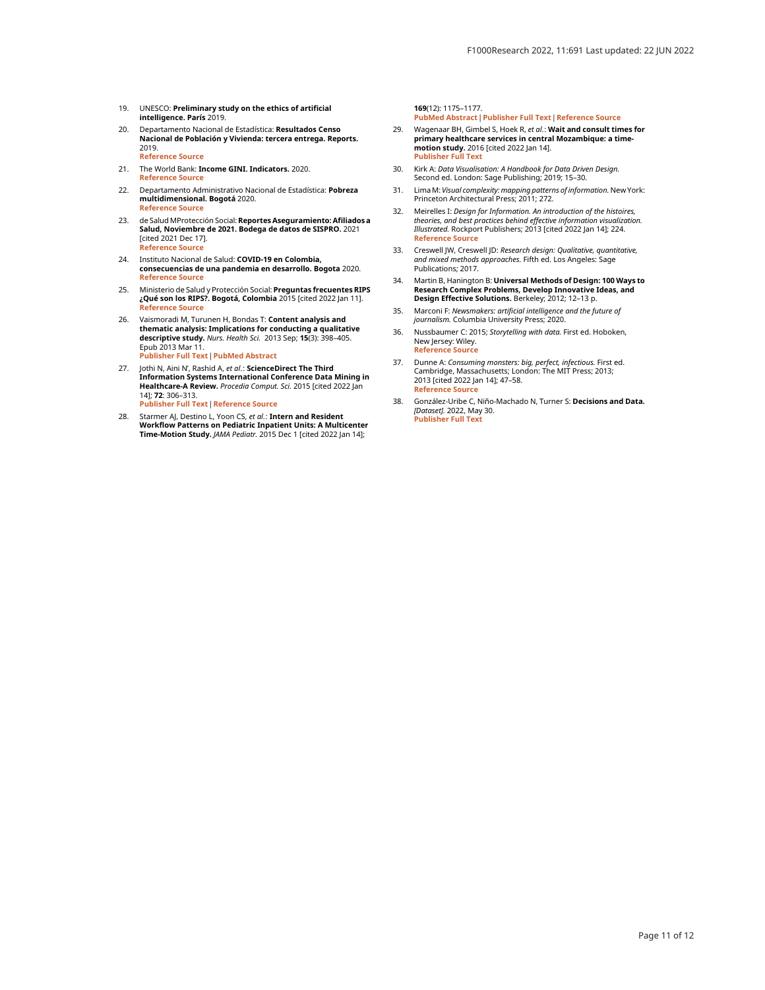- <span id="page-10-0"></span>19. UNESCO: Preliminary study on the ethics of artificial intelligence. París 2019.
- 20. Departamento Nacional de Estadística: Resultados Censo Nacional de Población y Vivienda: tercera entrega. Reports. 2019. [Reference Source](https://www.dane.gov.co/files/censo2018/informacion-tecnica/cnpv-2018-presentacion-3ra-entrega.pdf)
- 21. The World Bank: Income GINI. Indicators. 2020. [Reference Source](https://datos.bancomundial.org/indicator/SI.POV.GINI?locations=CO)
- 22. Departamento Administrativo Nacional de Estadística: **Pobreza**<br>**multidimensional. Bogotá** 2020. [Reference Source](https://www.dane.gov.co/files/investigaciones/condiciones_vida/pobreza/2019/Presentacion_rueda_de_prensa_ECV_e_IPM_2019.pdf)
- 23. de Salud MProtección Social: Reportes Aseguramiento: Afiliados a Salud, Noviembre de 2021. Bodega de datos de SISPRO. 2021 [cited 2021 Dec 17]. [Reference Source](http://rssvr2.sispro.gov.co/BDUA/)
- 24. Instituto Nacional de Salud: COVID-19 en Colombia, consecuencias de una pandemia en desarrollo. Bogota 2020. [Reference Source](https://www.ins.gov.co/Direcciones/ONS/Informes/12COVID-19enColombia,pandemiaendesarrollo.pdf)
- 25. Ministerio de Salud y Protección Social: Preguntas frecuentes RIPS ¿Qué son los RIPS?. Bogotá, Colombia 2015 [cited 2022 Jan 11]. [Reference Source](https://www.minsalud.gov.co/sites/rid/Lists/BibliotecaDigital/RIDE/DE/OT/FAQ-RIPS.pdf)
- 26. Vaismoradi M, Turunen H, Bondas T: Content analysis and thematic analysis: Implications for conducting a qualitative **descriptive study.** *Nurs. Health Sci.* 2013 Sep; **15**(3): 398–405.<br>Epub 2013 Mar 11. [Publisher Full Text](https://doi.org/10.1111/nhs.12048)[|](http://www.ncbi.nlm.nih.gov/pubmed/23480423)[PubMed Abstract](http://www.ncbi.nlm.nih.gov/pubmed/23480423)
- 27. Jothi N, Aini N', Rashid A, *et al*.: **ScienceDirect The Third**<br>I**nformation Systems International Conference Data Mining in** Healthcare-A Review. Procedia Comput. Sci. 2015 [cited 2022 Jan 14]; 72: 306–313. [Publisher Full Text](https://doi.org/10.1016/j.procs.2015.12.145) [|](http://www.sciencedirect.com) [Reference Source](http://www.sciencedirect.com)
- 28. Starmer AJ, Destino L, Yoon CS, et al.: Intern and Resident **Workflow Patterns on Pediatric Inpatient Units: A Multicenter<br>Time-Motion Study.** *JAMA Pediatr.* **2015 Dec 1 [cited 2022 Jan 14];**

169(12): 1175–1177.

[PubMed Abstract](http://www.ncbi.nlm.nih.gov/pubmed/26501753)[|](https://doi.org/10.1001/jamapediatrics.2015.2471)[Publisher Full Text](https://doi.org/10.1001/jamapediatrics.2015.2471)[|](https://jamanetwork.com/journals/jamapediatrics/fullarticle/2463123)[Reference Source](https://jamanetwork.com/journals/jamapediatrics/fullarticle/2463123) 29. Wagenaar BH, Gimbel S, Hoek R, et al.: Wait and consult times for

- primary healthcare services in central Mozambique: a timemotion study. 2016 [cited 2022 Jan 14]. [Publisher Full Text](https://doi.org/10.3402/gha.v9.31980)
- 30. Kirk A: Data Visualisation: A Handbook for Data Driven Design. Second ed. London: Sage Publishing; 2019; 15–30.
- 31. Lima M: Visual complexity: mapping patterns of information. New York: Princeton Architectural Press; 2011; 272.
- 32. Meirelles I: Design for Information. An introduction of the histoires, theories, and best practices behind effective information visualization. Illustrated. Rockport Publishers; 2013 [cited 2022 Jan 14]; 224. [Reference Source](https://books.google.com/books/about/Design_for_Information.html?id=RFb0AwAAQBAJ)
- 33. Creswell JW, Creswell JD: Research design: Qualitative, quantitative, *and mixed methods approaches.* Fifth ed. Los Angeles: Sage<br>Publications; 2017.
- 34. Martin B, Hanington B: Universal Methods of Design: 100 Ways to Research Complex Problems, Develop Innovative Ideas, and Design Effective Solutions. Berkeley; 2012; 12–13 p.
- 35. Marconi F: Newsmakers: artificial intelligence and the future of journalism. Columbia University Press; 2020.
- 36. Nussbaumer C: 2015; Storytelling with data. First ed. Hoboken, New Jersey: Wiley. [Reference Source](http://www.wiley.com/go/permissions)
- 37. Dunne A: Consuming monsters: big, perfect, infectious. First ed. Cambridge, Massachusetts; London: The MIT Press; 2013; 2013 [cited 2022 Jan 14]; 47–58. [Reference Source](https://books.google.com/books/about/Speculative_Everything.html?id=9gQyAgAAQBAJ)
- 38. González-Uribe C, Niño-Machado N, Turner S: Decisions and Data. [Dataset]. 2022, May 30. [Publisher Full Text](https://doi.org/10.17605/OSF.IO/AYU9W)